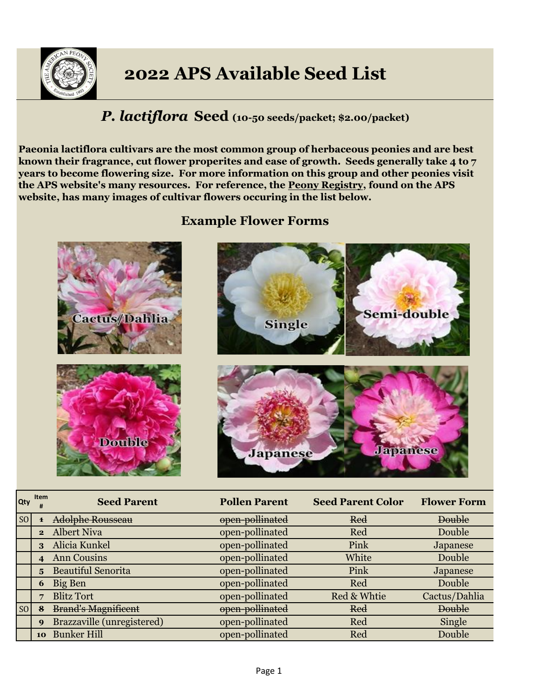

# **2022 APS Available Seed List**

## *P. lactiflora* **Seed (10-50 seeds/packet; \$2.00/packet)**

**Paeonia lactiflora cultivars are the most common group of herbaceous peonies and are best known their fragrance, cut flower properites and ease of growth. Seeds generally take 4 to 7 years to become flowering size. For more information on this group and other peonies visit the APS website's many resources. For reference, the Peony Registry, found on the APS website, has many images of cultivar flowers occuring in the list below.**

## **Example Flower Forms**



| Qty            | Item<br>#      | <b>Seed Parent</b>         | <b>Pollen Parent</b> | <b>Seed Parent Color</b> | <b>Flower Form</b> |
|----------------|----------------|----------------------------|----------------------|--------------------------|--------------------|
| S <sub>O</sub> |                | <b>Adolphe Rousseau</b>    | open-pollinated      | Red                      | <b>Double</b>      |
|                | $\mathbf{2}$   | <b>Albert Niva</b>         | open-pollinated      | Red                      | Double             |
|                | 3              | Alicia Kunkel              | open-pollinated      | Pink                     | Japanese           |
|                | $\overline{4}$ | <b>Ann Cousins</b>         | open-pollinated      | White                    | Double             |
|                | 5 <sup>5</sup> | <b>Beautiful Senorita</b>  | open-pollinated      | Pink                     | Japanese           |
|                | 6              | Big Ben                    | open-pollinated      | Red                      | Double             |
|                | 7              | <b>Blitz Tort</b>          | open-pollinated      | Red & Whtie              | Cactus/Dahlia      |
| SO             |                | <b>Brand's Magnificent</b> | open-pollinated      | Red                      | <b>Double</b>      |
|                | 9              | Brazzaville (unregistered) | open-pollinated      | Red                      | Single             |
|                | 10             | <b>Bunker Hill</b>         | open-pollinated      | Red                      | Double             |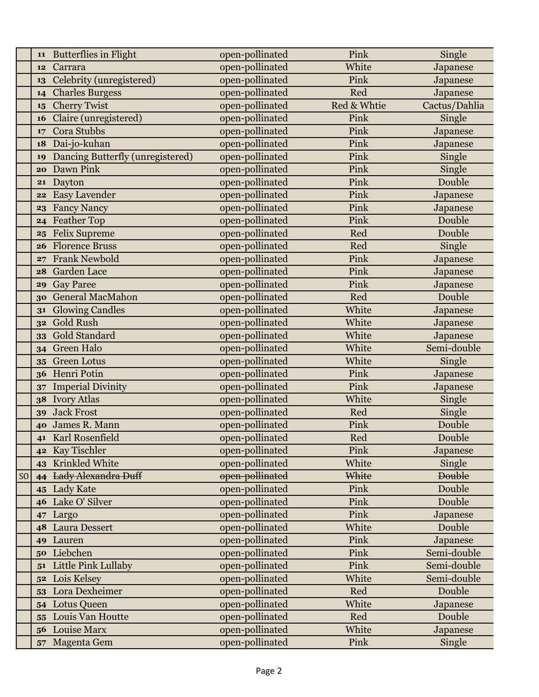|                | 11             | <b>Butterflies in Flight</b>     | open-pollinated | Pink        | Single        |
|----------------|----------------|----------------------------------|-----------------|-------------|---------------|
|                | 12             | Carrara                          | open-pollinated | White       | Japanese      |
|                | 13             | Celebrity (unregistered)         | open-pollinated | Pink        | Japanese      |
|                | 14             | <b>Charles Burgess</b>           | open-pollinated | Red         | Japanese      |
|                | 15             | <b>Cherry Twist</b>              | open-pollinated | Red & Whtie | Cactus/Dahlia |
|                | 16             | Claire (unregistered)            | open-pollinated | Pink        | Single        |
|                | 17             | Cora Stubbs                      | open-pollinated | Pink        | Japanese      |
|                | 18             | Dai-jo-kuhan                     | open-pollinated | Pink        | Japanese      |
|                | 19             | Dancing Butterfly (unregistered) | open-pollinated | Pink        | Single        |
|                | 20             | Dawn Pink                        | open-pollinated | Pink        | Single        |
|                | 21             | Dayton                           | open-pollinated | Pink        | Double        |
|                | 22             | <b>Easy Lavender</b>             | open-pollinated | Pink        | Japanese      |
|                | 23             | <b>Fancy Nancy</b>               | open-pollinated | Pink        | Japanese      |
|                | 24             | <b>Feather Top</b>               | open-pollinated | Pink        | Double        |
|                | 25             | <b>Felix Supreme</b>             | open-pollinated | Red         | Double        |
|                | 26             | <b>Florence Bruss</b>            | open-pollinated | Red         | Single        |
|                | 27             | <b>Frank Newbold</b>             | open-pollinated | Pink        | Japanese      |
|                | 28             | Garden Lace                      | open-pollinated | Pink        | Japanese      |
|                | 29             | <b>Gay Paree</b>                 | open-pollinated | Pink        | Japanese      |
|                | 30             | <b>General MacMahon</b>          | open-pollinated | Red         | Double        |
|                | 31             | <b>Glowing Candles</b>           | open-pollinated | White       | Japanese      |
|                | 32             | <b>Gold Rush</b>                 | open-pollinated | White       | Japanese      |
|                | 33             | <b>Gold Standard</b>             | open-pollinated | White       | Japanese      |
|                | 34             | <b>Green Halo</b>                | open-pollinated | White       | Semi-double   |
|                | 35             | <b>Green Lotus</b>               | open-pollinated | White       | Single        |
|                | 36             | Henri Potin                      | open-pollinated | Pink        | Japanese      |
|                | 37             | <b>Imperial Divinity</b>         | open-pollinated | Pink        | Japanese      |
|                | 38             | <b>Ivory Atlas</b>               | open-pollinated | White       | Single        |
|                | 39             | <b>Jack Frost</b>                | open-pollinated | Red         | Single        |
|                | 40             | James R. Mann                    | open-pollinated | Pink        | Double        |
|                |                | 41 Karl Rosenfield               | open-pollinated | Red         | Double        |
|                | 42             | Kay Tischler                     | open-pollinated | Pink        | Japanese      |
|                | 43             | Krinkled White                   | open-pollinated | White       | Single        |
| S <sub>O</sub> | 44             | <b>Lady Alexandra Duff</b>       | open-pollinated | White       | <b>Double</b> |
|                | 45             | <b>Lady Kate</b>                 | open-pollinated | Pink        | Double        |
|                | 46             | Lake O' Silver                   | open-pollinated | Pink        | Double        |
|                | 47             | Largo                            | open-pollinated | Pink        | Japanese      |
|                | 48             | <b>Laura Dessert</b>             | open-pollinated | White       | Double        |
|                | 49             | Lauren                           | open-pollinated | Pink        | Japanese      |
|                | 50             | Liebchen                         | open-pollinated | Pink        | Semi-double   |
|                | 51             | Little Pink Lullaby              | open-pollinated | Pink        | Semi-double   |
|                | 5 <sup>2</sup> | Lois Kelsey                      | open-pollinated | White       | Semi-double   |
|                | 53             | Lora Dexheimer                   | open-pollinated | Red         | Double        |
|                | 54             | <b>Lotus Queen</b>               | open-pollinated | White       | Japanese      |
|                | 55             | Louis Van Houtte                 | open-pollinated | Red         | Double        |
|                | 56             | <b>Louise Marx</b>               | open-pollinated | White       | Japanese      |
|                | 57             | Magenta Gem                      | open-pollinated | Pink        | Single        |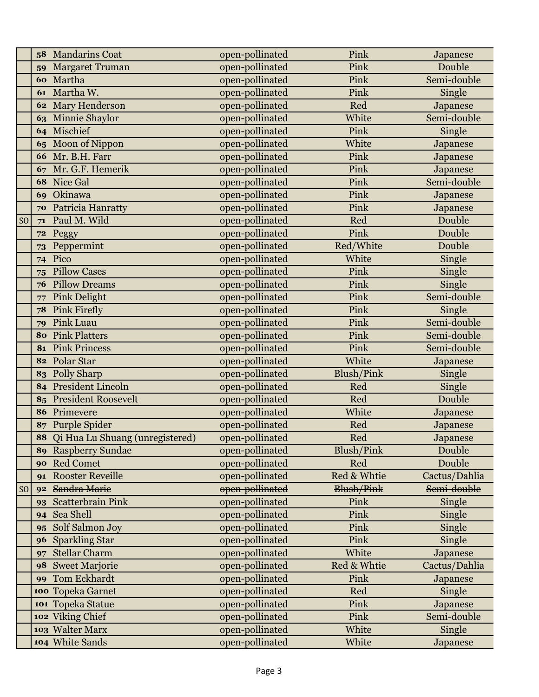|                | 58             | <b>Mandarins Coat</b>              | open-pollinated | Pink              | Japanese      |
|----------------|----------------|------------------------------------|-----------------|-------------------|---------------|
|                | 59             | <b>Margaret Truman</b>             | open-pollinated | Pink              | Double        |
|                |                | 60 Martha                          | open-pollinated | Pink              | Semi-double   |
|                | 61             | Martha W.                          | open-pollinated | Pink              | Single        |
|                |                | 62 Mary Henderson                  | open-pollinated | Red               | Japanese      |
|                | 63             | Minnie Shaylor                     | open-pollinated | White             | Semi-double   |
|                | 64             | Mischief                           | open-pollinated | Pink              | Single        |
|                | 65             | Moon of Nippon                     | open-pollinated | White             | Japanese      |
|                | 66             | Mr. B.H. Farr                      | open-pollinated | Pink              | Japanese      |
|                | 67             | Mr. G.F. Hemerik                   | open-pollinated | Pink              | Japanese      |
|                | 68             | Nice Gal                           | open-pollinated | Pink              | Semi-double   |
|                | 69             | Okinawa                            | open-pollinated | Pink              | Japanese      |
|                | 70             | Patricia Hanratty                  | open-pollinated | Pink              | Japanese      |
| S <sub>O</sub> | 7 <sup>1</sup> | Paul M. Wild                       | open-pollinated | <b>Red</b>        | <b>Double</b> |
|                | 72             | Peggy                              | open-pollinated | Pink              | Double        |
|                | 73             | Peppermint                         | open-pollinated | Red/White         | Double        |
|                |                | 74 Pico                            | open-pollinated | White             | Single        |
|                | 75             | <b>Pillow Cases</b>                | open-pollinated | Pink              | Single        |
|                | 76             | <b>Pillow Dreams</b>               | open-pollinated | Pink              | Single        |
|                | 77             | <b>Pink Delight</b>                | open-pollinated | Pink              | Semi-double   |
|                | 78             | <b>Pink Firefly</b>                | open-pollinated | Pink              | Single        |
|                | 79             | <b>Pink Luau</b>                   | open-pollinated | Pink              | Semi-double   |
|                | 80             | <b>Pink Platters</b>               | open-pollinated | Pink              | Semi-double   |
|                | 81             | <b>Pink Princess</b>               | open-pollinated | Pink              | Semi-double   |
|                |                | 82 Polar Star                      | open-pollinated | White             | Japanese      |
|                |                | 83 Polly Sharp                     | open-pollinated | Blush/Pink        | Single        |
|                |                | 84 President Lincoln               | open-pollinated | Red               | Single        |
|                | 85             | <b>President Roosevelt</b>         | open-pollinated | Red               | Double        |
|                | 86             | Primevere                          | open-pollinated | White             | Japanese      |
|                | 87             | Purple Spider                      | open-pollinated | Red               | Japanese      |
|                |                | 88 Qi Hua Lu Shuang (unregistered) | open-pollinated | Red               | Japanese      |
|                | 89             | <b>Raspberry Sundae</b>            | open-pollinated | Blush/Pink        | Double        |
|                | 90             | <b>Red Comet</b>                   | open-pollinated | Red               | Double        |
|                | 91             | <b>Rooster Reveille</b>            | open-pollinated | Red & Whtie       | Cactus/Dahlia |
| S <sub>0</sub> | 92             | Sandra Marie                       | open-pollinated | <b>Blush/Pink</b> | Semi-double   |
|                | 93             | <b>Scatterbrain Pink</b>           | open-pollinated | Pink              | Single        |
|                | 94             | Sea Shell                          | open-pollinated | Pink              | Single        |
|                | 95             | Solf Salmon Joy                    | open-pollinated | Pink              | Single        |
|                | 96             | <b>Sparkling Star</b>              | open-pollinated | Pink              | Single        |
|                | 97             | <b>Stellar Charm</b>               | open-pollinated | White             | Japanese      |
|                | 98             | <b>Sweet Marjorie</b>              | open-pollinated | Red & Whtie       | Cactus/Dahlia |
|                | 99             | Tom Eckhardt                       | open-pollinated | Pink              | Japanese      |
|                |                | 100 Topeka Garnet                  | open-pollinated | Red               | Single        |
|                |                | 101 Topeka Statue                  | open-pollinated | Pink              | Japanese      |
|                |                | 102 Viking Chief                   | open-pollinated | Pink              | Semi-double   |
|                |                | 103 Walter Marx                    | open-pollinated | White             | Single        |
|                |                | 104 White Sands                    | open-pollinated | White             | Japanese      |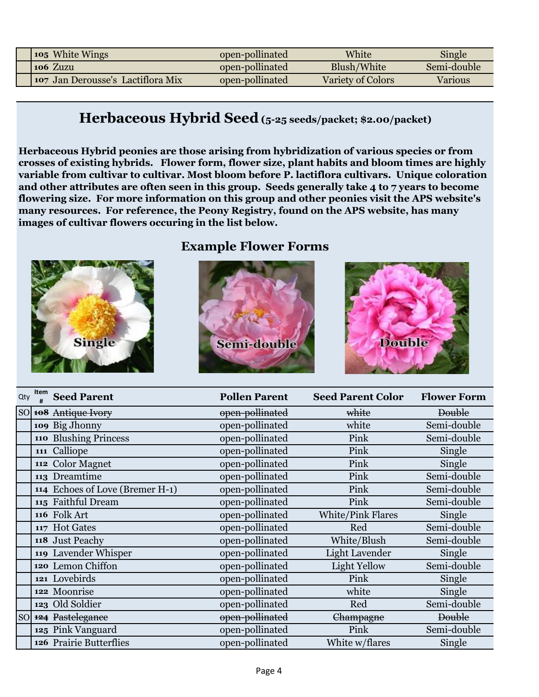| 105 White Wings                          | open-pollinated | White             | Single      |
|------------------------------------------|-----------------|-------------------|-------------|
| 106 Zuzu                                 | open-pollinated | Blush/White       | Semi-double |
| <b>107 Jan Derousse's Lactiflora Mix</b> | open-pollinated | Variety of Colors | Various     |

## **Herbaceous Hybrid Seed (5-25 seeds/packet; \$2.00/packet)**

**Herbaceous Hybrid peonies are those arising from hybridization of various species or from crosses of existing hybrids. Flower form, flower size, plant habits and bloom times are highly variable from cultivar to cultivar. Most bloom before P. lactiflora cultivars. Unique coloration and other attributes are often seen in this group. Seeds generally take 4 to 7 years to become flowering size. For more information on this group and other peonies visit the APS website's many resources. For reference, the Peony Registry, found on the APS website, has many images of cultivar flowers occuring in the list below.**

### **Example Flower Forms**





| Qty       | Item | <b>Seed Parent</b>              | <b>Pollen Parent</b> | <b>Seed Parent Color</b> | <b>Flower Form</b> |
|-----------|------|---------------------------------|----------------------|--------------------------|--------------------|
|           |      | SO 108 Antique Ivory            | open-pollinated      | white                    | <b>Double</b>      |
|           |      | 109 Big Jhonny                  | open-pollinated      | white                    | Semi-double        |
|           |      | 110 Blushing Princess           | open-pollinated      | Pink                     | Semi-double        |
|           |      | 111 Calliope                    | open-pollinated      | Pink                     | Single             |
|           |      | 112 Color Magnet                | open-pollinated      | Pink                     | Single             |
|           |      | 113 Dreamtime                   | open-pollinated      | Pink                     | Semi-double        |
|           |      | 114 Echoes of Love (Bremer H-1) | open-pollinated      | Pink                     | Semi-double        |
|           |      | 115 Faithful Dream              | open-pollinated      | Pink                     | Semi-double        |
|           |      | 116 Folk Art                    | open-pollinated      | <b>White/Pink Flares</b> | Single             |
|           |      | 117 Hot Gates                   | open-pollinated      | Red                      | Semi-double        |
|           |      | 118 Just Peachy                 | open-pollinated      | White/Blush              | Semi-double        |
|           |      | 119 Lavender Whisper            | open-pollinated      | <b>Light Lavender</b>    | Single             |
|           |      | 120 Lemon Chiffon               | open-pollinated      | Light Yellow             | Semi-double        |
|           |      | 121 Lovebirds                   | open-pollinated      | Pink                     | Single             |
|           |      | 122 Moonrise                    | open-pollinated      | white                    | Single             |
|           |      | 123 Old Soldier                 | open-pollinated      | Red                      | Semi-double        |
| <b>SO</b> |      | 124 Pastelegance                | open-pollinated      | <del>Champagne</del>     | <b>Double</b>      |
|           |      | 125 Pink Vanguard               | open-pollinated      | Pink                     | Semi-double        |
|           |      | 126 Prairie Butterflies         | open-pollinated      | White w/flares           | Single             |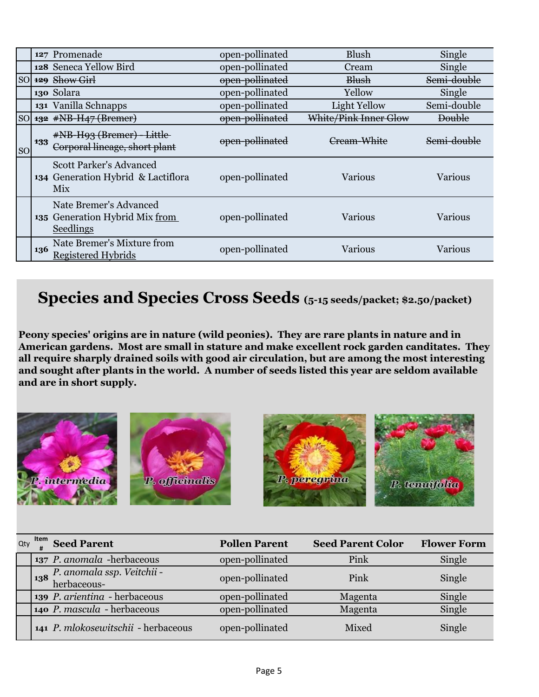|           |     | 127 Promenade                                                                | open-pollinated | <b>Blush</b>          | Single                 |
|-----------|-----|------------------------------------------------------------------------------|-----------------|-----------------------|------------------------|
|           |     | 128 Seneca Yellow Bird                                                       | open-pollinated | Cream                 | Single                 |
|           |     | SO 129 Show Girl                                                             | open-pollinated | <b>Blush</b>          | Semi-double            |
|           |     | 130 Solara                                                                   | open-pollinated | Yellow                | Single                 |
|           |     | 131 Vanilla Schnapps                                                         | open-pollinated | Light Yellow          | Semi-double            |
|           |     | SO $132$ #NB-H47 (Bremer)                                                    | open-pollinated | White/Pink Inner Glow | <b>Double</b>          |
| <b>SO</b> | 133 | #NB-H93 (Bremer) - Little<br>Corporal lineage, short plant                   | open-pollinated | Cream-White           | <del>Semi-double</del> |
|           |     | <b>Scott Parker's Advanced</b><br>134 Generation Hybrid & Lactiflora<br>Mix  | open-pollinated | <b>Various</b>        | Various                |
|           |     | Nate Bremer's Advanced<br>135 Generation Hybrid Mix from<br><b>Seedlings</b> | open-pollinated | Various               | Various                |
|           | 136 | Nate Bremer's Mixture from<br>Registered Hybrids                             | open-pollinated | <b>Various</b>        | Various                |

## **Species and Species Cross Seeds (5-15 seeds/packet; \$2.50/packet)**

**Peony species' origins are in nature (wild peonies). They are rare plants in nature and in American gardens. Most are small in stature and make excellent rock garden canditates. They all require sharply drained soils with good air circulation, but are among the most interesting and sought after plants in the world. A number of seeds listed this year are seldom available and are in short supply.**



| Qty | $\frac{1}{4}$ $\frac{1}{4}$ Seed Parent                                                                           | <b>Pollen Parent</b> | <b>Seed Parent Color</b> | <b>Flower Form</b> |
|-----|-------------------------------------------------------------------------------------------------------------------|----------------------|--------------------------|--------------------|
|     | 137 P. anomala -herbaceous                                                                                        | open-pollinated      | Pink                     | Single             |
|     | $\begin{bmatrix} 138 & P. \text{ anom} \text{al} \text{asp.} \text{ Veitchii} - \text{herbaceous-} \end{bmatrix}$ | open-pollinated      | Pink                     | Single             |
|     | 139 P. arientina - herbaceous                                                                                     | open-pollinated      | Magenta                  | Single             |
|     | 140 P. mascula - herbaceous                                                                                       | open-pollinated      | Magenta                  | Single             |
|     | 141 P. mlokosewitschii - herbaceous                                                                               | open-pollinated      | Mixed                    | Single             |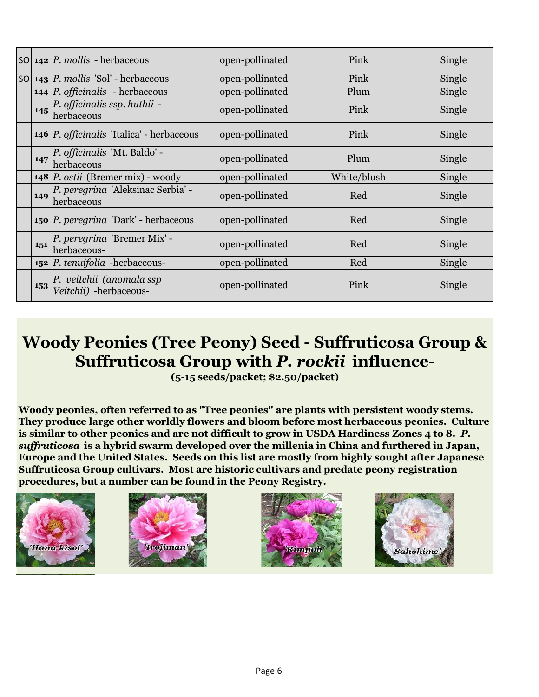|     | $\mathsf{SO}$ 142 <i>P. mollis</i> - herbaceous    | open-pollinated | Pink        | Single |
|-----|----------------------------------------------------|-----------------|-------------|--------|
|     | SO 143 P. mollis 'Sol' - herbaceous                | open-pollinated | Pink        | Single |
|     | <b>144 P.</b> <i>officinalis</i> - herbaceous      | open-pollinated | Plum        | Single |
| 145 | P. officinalis ssp. huthii -<br>herbaceous         | open-pollinated | Pink        | Single |
|     | 146 P. officinalis 'Italica' - herbaceous          | open-pollinated | Pink        | Single |
| 147 | P. officinalis 'Mt. Baldo' -<br>herbaceous         | open-pollinated | Plum        | Single |
|     | 148 P. ostii (Bremer mix) - woody                  | open-pollinated | White/blush | Single |
| 149 | P. peregrina 'Aleksinac Serbia' -<br>herbaceous    | open-pollinated | Red         | Single |
|     | 150 P. peregrina 'Dark' - herbaceous               | open-pollinated | Red         | Single |
| 151 | P. peregrina 'Bremer Mix' -<br>herbaceous-         | open-pollinated | Red         | Single |
|     | 152 P. tenuifolia - herbaceous-                    | open-pollinated | Red         | Single |
| 153 | P. veitchii (anomala ssp<br>Veitchii) -herbaceous- | open-pollinated | Pink        | Single |

# **Woody Peonies (Tree Peony) Seed - Suffruticosa Group & Suffruticosa Group with** *P. rockii* **influence-**

**(5-15 seeds/packet; \$2.50/packet)**

**Woody peonies, often referred to as "Tree peonies" are plants with persistent woody stems. They produce large other worldly flowers and bloom before most herbaceous peonies. Culture is similar to other peonies and are not difficult to grow in USDA Hardiness Zones 4 to 8.** *P. suffruticosa* **is a hybrid swarm developed over the millenia in China and furthered in Japan, Europe and the United States. Seeds on this list are mostly from highly sought after Japanese Suffruticosa Group cultivars. Most are historic cultivars and predate peony registration procedures, but a number can be found in the Peony Registry.**







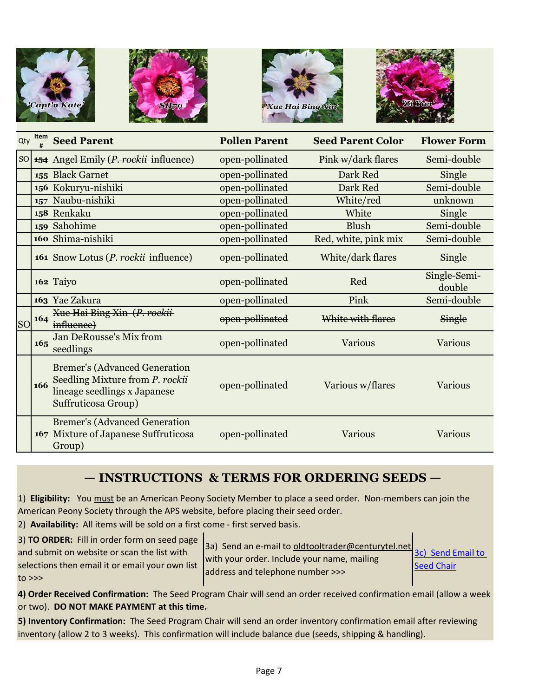







| Qty       | Item | <b>Seed Parent</b>                                                                                                             | <b>Pollen Parent</b> | <b>Seed Parent Color</b> | <b>Flower Form</b>     |
|-----------|------|--------------------------------------------------------------------------------------------------------------------------------|----------------------|--------------------------|------------------------|
| <b>SO</b> |      | 154 Angel Emily (P. rockii-influence)                                                                                          | open-pollinated      | Pink w/dark flares       | Semi-double            |
|           |      | 155 Black Garnet                                                                                                               | open-pollinated      | Dark Red                 | Single                 |
|           |      | 156 Kokuryu-nishiki                                                                                                            | open-pollinated      | Dark Red                 | Semi-double            |
|           |      | 157 Naubu-nishiki                                                                                                              | open-pollinated      | White/red                | unknown                |
|           |      | 158 Renkaku                                                                                                                    | open-pollinated      | White                    | Single                 |
|           |      | 159 Sahohime                                                                                                                   | open-pollinated      | <b>Blush</b>             | Semi-double            |
|           |      | 160 Shima-nishiki                                                                                                              | open-pollinated      | Red, white, pink mix     | Semi-double            |
|           |      | <b>161</b> Snow Lotus ( <i>P. rockii</i> influence)                                                                            | open-pollinated      | White/dark flares        | Single                 |
|           |      | 162 Taiyo                                                                                                                      | open-pollinated      | Red                      | Single-Semi-<br>double |
|           |      | 163 Yae Zakura                                                                                                                 | open-pollinated      | Pink                     | Semi-double            |
| <b>SO</b> | 164  | Xue Hai Bing Xin (P. rockii-<br>influence)                                                                                     | open-pollinated      | White with flares        | Single                 |
|           | 165  | Jan DeRousse's Mix from<br>seedlings                                                                                           | open-pollinated      | Various                  | <b>Various</b>         |
|           | 166  | <b>Bremer's (Advanced Generation</b><br>Seedling Mixture from P. rockii<br>lineage seedlings x Japanese<br>Suffruticosa Group) | open-pollinated      | Various w/flares         | Various                |
|           |      | <b>Bremer's (Advanced Generation</b><br>167 Mixture of Japanese Suffruticosa<br>Group)                                         | open-pollinated      | <b>Various</b>           | <b>Various</b>         |

## **— INSTRUCTIONS & TERMS FOR ORDERING SEEDS —**

1) **Eligibility:** You must be an American Peony Society Member to place a seed order. Non-members can join the American Peony Society through the APS website, before placing their seed order.

2) **Availability:** All items will be sold on a first come - first served basis.

3) **TO ORDER:** Fill in order form on seed page

and submit on website or scan the list with selections then email it or email your own list to >>>

3a) Send an e-mail to oldtooltrader@centurytel.net with your order. Include your name, mailing address and telephone number >>>

[3c\) Send Email to](mailto:oldtooltrader@centurytel.net?subject=Seed%20Order%202021)  **[Seed Chair](mailto:oldtooltrader@centurytel.net?subject=Seed%20Order%202021)** 

**4) Order Received Confirmation:** The Seed Program Chair will send an order received confirmation email (allow a week or two). **DO NOT MAKE PAYMENT at this time.**

**5) Inventory Confirmation:** The Seed Program Chair will send an order inventory confirmation email after reviewing inventory (allow 2 to 3 weeks). This confirmation will include balance due (seeds, shipping & handling).